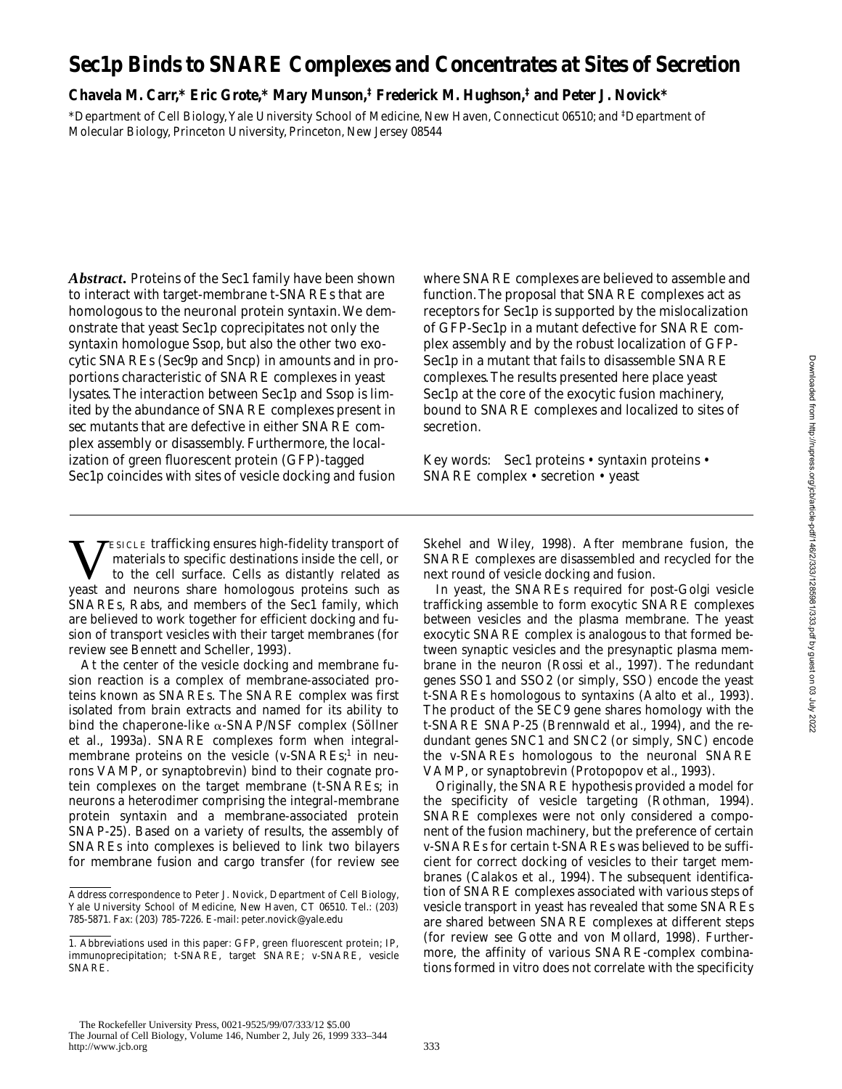# **Sec1p Binds to SNARE Complexes and Concentrates at Sites of Secretion**

# **Chavela M. Carr,\* Eric Grote,\* Mary Munson,‡ Frederick M. Hughson,‡ and Peter J. Novick\***

\*Department of Cell Biology, Yale University School of Medicine, New Haven, Connecticut 06510; and ‡ Department of Molecular Biology, Princeton University, Princeton, New Jersey 08544

*Abstract.* Proteins of the Sec1 family have been shown to interact with target-membrane t-SNAREs that are homologous to the neuronal protein syntaxin. We demonstrate that yeast Sec1p coprecipitates not only the syntaxin homologue Ssop, but also the other two exocytic SNAREs (Sec9p and Sncp) in amounts and in proportions characteristic of SNARE complexes in yeast lysates. The interaction between Sec1p and Ssop is limited by the abundance of SNARE complexes present in *sec* mutants that are defective in either SNARE complex assembly or disassembly. Furthermore, the localization of green fluorescent protein (GFP)-tagged Sec1p coincides with sites of vesicle docking and fusion where SNARE complexes are believed to assemble and function. The proposal that SNARE complexes act as receptors for Sec1p is supported by the mislocalization of GFP-Sec1p in a mutant defective for SNARE complex assembly and by the robust localization of GFP-Sec1p in a mutant that fails to disassemble SNARE complexes. The results presented here place yeast Sec1p at the core of the exocytic fusion machinery, bound to SNARE complexes and localized to sites of secretion.

Key words: Sec1 proteins • syntaxin proteins • SNARE complex • secretion • yeast

**VESICLE trafficking ensures high-fidelity transport of** materials to specific destinations inside the cell, or<br>to the cell surface. Cells as distantly related as<br>veast and neurons share homologous proteins such as materials to specific destinations inside the cell, or yeast and neurons share homologous proteins such as SNAREs, Rabs, and members of the Sec1 family, which are believed to work together for efficient docking and fusion of transport vesicles with their target membranes (for review see Bennett and Scheller, 1993).

At the center of the vesicle docking and membrane fusion reaction is a complex of membrane-associated proteins known as SNAREs. The SNARE complex was first isolated from brain extracts and named for its ability to bind the chaperone-like  $\alpha$ -SNAP/NSF complex (Söllner et al., 1993a). SNARE complexes form when integralmembrane proteins on the vesicle (v-SNAREs;<sup>1</sup> in neurons VAMP, or synaptobrevin) bind to their cognate protein complexes on the target membrane (t-SNAREs; in neurons a heterodimer comprising the integral-membrane protein syntaxin and a membrane-associated protein SNAP-25). Based on a variety of results, the assembly of SNAREs into complexes is believed to link two bilayers for membrane fusion and cargo transfer (for review see Skehel and Wiley, 1998). After membrane fusion, the SNARE complexes are disassembled and recycled for the next round of vesicle docking and fusion.

In yeast, the SNAREs required for post-Golgi vesicle trafficking assemble to form exocytic SNARE complexes between vesicles and the plasma membrane. The yeast exocytic SNARE complex is analogous to that formed between synaptic vesicles and the presynaptic plasma membrane in the neuron (Rossi et al., 1997). The redundant genes *SSO1* and *SSO2* (or simply, *SSO*) encode the yeast t-SNAREs homologous to syntaxins (Aalto et al., 1993). The product of the *SEC9* gene shares homology with the t-SNARE SNAP-25 (Brennwald et al., 1994), and the redundant genes *SNC1* and *SNC2* (or simply, *SNC*) encode the v-SNAREs homologous to the neuronal SNARE VAMP, or synaptobrevin (Protopopov et al., 1993).

Originally, the SNARE hypothesis provided a model for the specificity of vesicle targeting (Rothman, 1994). SNARE complexes were not only considered a component of the fusion machinery, but the preference of certain v-SNAREs for certain t-SNAREs was believed to be sufficient for correct docking of vesicles to their target membranes (Calakos et al., 1994). The subsequent identification of SNARE complexes associated with various steps of vesicle transport in yeast has revealed that some SNAREs are shared between SNARE complexes at different steps (for review see Gotte and von Mollard, 1998). Furthermore, the affinity of various SNARE-complex combinations formed in vitro does not correlate with the specificity

Address correspondence to Peter J. Novick, Department of Cell Biology, Yale University School of Medicine, New Haven, CT 06510. Tel.: (203) 785-5871. Fax: (203) 785-7226. E-mail: peter.novick@yale.edu

<sup>1.</sup> *Abbreviations used in this paper:* GFP, green fluorescent protein; IP, immunoprecipitation; t-SNARE, target SNARE; v-SNARE, vesicle SNARE.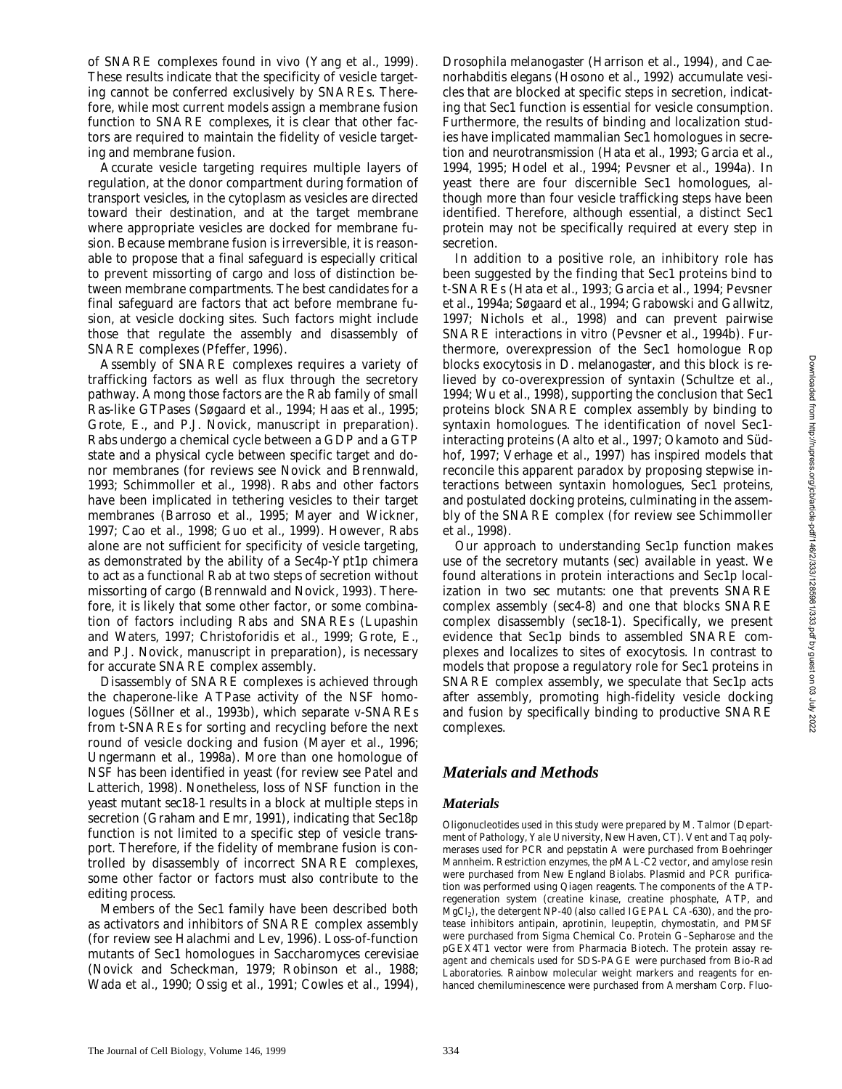of SNARE complexes found in vivo (Yang et al., 1999). These results indicate that the specificity of vesicle targeting cannot be conferred exclusively by SNAREs. Therefore, while most current models assign a membrane fusion function to SNARE complexes, it is clear that other factors are required to maintain the fidelity of vesicle targeting and membrane fusion.

Accurate vesicle targeting requires multiple layers of regulation, at the donor compartment during formation of transport vesicles, in the cytoplasm as vesicles are directed toward their destination, and at the target membrane where appropriate vesicles are docked for membrane fusion. Because membrane fusion is irreversible, it is reasonable to propose that a final safeguard is especially critical to prevent missorting of cargo and loss of distinction between membrane compartments. The best candidates for a final safeguard are factors that act before membrane fusion, at vesicle docking sites. Such factors might include those that regulate the assembly and disassembly of SNARE complexes (Pfeffer, 1996).

Assembly of SNARE complexes requires a variety of trafficking factors as well as flux through the secretory pathway. Among those factors are the Rab family of small Ras-like GTPases (Søgaard et al., 1994; Haas et al., 1995; Grote, E., and P.J. Novick, manuscript in preparation). Rabs undergo a chemical cycle between a GDP and a GTP state and a physical cycle between specific target and donor membranes (for reviews see Novick and Brennwald, 1993; Schimmoller et al., 1998). Rabs and other factors have been implicated in tethering vesicles to their target membranes (Barroso et al., 1995; Mayer and Wickner, 1997; Cao et al., 1998; Guo et al., 1999). However, Rabs alone are not sufficient for specificity of vesicle targeting, as demonstrated by the ability of a Sec4p-Ypt1p chimera to act as a functional Rab at two steps of secretion without missorting of cargo (Brennwald and Novick, 1993). Therefore, it is likely that some other factor, or some combination of factors including Rabs and SNAREs (Lupashin and Waters, 1997; Christoforidis et al., 1999; Grote, E., and P.J. Novick, manuscript in preparation), is necessary for accurate SNARE complex assembly.

Disassembly of SNARE complexes is achieved through the chaperone-like ATPase activity of the NSF homologues (Söllner et al., 1993b), which separate v-SNAREs from t-SNAREs for sorting and recycling before the next round of vesicle docking and fusion (Mayer et al., 1996; Ungermann et al., 1998a). More than one homologue of NSF has been identified in yeast (for review see Patel and Latterich, 1998). Nonetheless, loss of NSF function in the yeast mutant *sec18-1* results in a block at multiple steps in secretion (Graham and Emr, 1991), indicating that Sec18p function is not limited to a specific step of vesicle transport. Therefore, if the fidelity of membrane fusion is controlled by disassembly of incorrect SNARE complexes, some other factor or factors must also contribute to the editing process.

Members of the Sec1 family have been described both as activators and inhibitors of SNARE complex assembly (for review see Halachmi and Lev, 1996). Loss-of-function mutants of Sec1 homologues in *Saccharomyces cerevisiae* (Novick and Scheckman, 1979; Robinson et al., 1988; Wada et al., 1990; Ossig et al., 1991; Cowles et al., 1994),

*Drosophila melanogaster* (Harrison et al., 1994), and *Caenorhabditis elegans* (Hosono et al., 1992) accumulate vesicles that are blocked at specific steps in secretion, indicating that Sec1 function is essential for vesicle consumption. Furthermore, the results of binding and localization studies have implicated mammalian Sec1 homologues in secretion and neurotransmission (Hata et al., 1993; Garcia et al., 1994, 1995; Hodel et al., 1994; Pevsner et al., 1994a). In yeast there are four discernible Sec1 homologues, although more than four vesicle trafficking steps have been identified. Therefore, although essential, a distinct Sec1 protein may not be specifically required at every step in secretion.

In addition to a positive role, an inhibitory role has been suggested by the finding that Sec1 proteins bind to t-SNAREs (Hata et al., 1993; Garcia et al., 1994; Pevsner et al., 1994a; Søgaard et al., 1994; Grabowski and Gallwitz, 1997; Nichols et al., 1998) and can prevent pairwise SNARE interactions in vitro (Pevsner et al., 1994b). Furthermore, overexpression of the Sec1 homologue Rop blocks exocytosis in *D*. *melanogaster*, and this block is relieved by co-overexpression of syntaxin (Schultze et al., 1994; Wu et al., 1998), supporting the conclusion that Sec1 proteins block SNARE complex assembly by binding to syntaxin homologues. The identification of novel Sec1 interacting proteins (Aalto et al., 1997; Okamoto and Südhof, 1997; Verhage et al., 1997) has inspired models that reconcile this apparent paradox by proposing stepwise interactions between syntaxin homologues, Sec1 proteins, and postulated docking proteins, culminating in the assembly of the SNARE complex (for review see Schimmoller et al., 1998).

Our approach to understanding Sec1p function makes use of the secretory mutants (*sec*) available in yeast. We found alterations in protein interactions and Sec1p localization in two *sec* mutants: one that prevents SNARE complex assembly (*sec4-8*) and one that blocks SNARE complex disassembly (*sec18-1*). Specifically, we present evidence that Sec1p binds to assembled SNARE complexes and localizes to sites of exocytosis. In contrast to models that propose a regulatory role for Sec1 proteins in SNARE complex assembly, we speculate that Sec1p acts after assembly, promoting high-fidelity vesicle docking and fusion by specifically binding to productive SNARE complexes.

# *Materials and Methods*

## *Materials*

Oligonucleotides used in this study were prepared by M. Talmor (Department of Pathology, Yale University, New Haven, CT). Vent and *Taq* polymerases used for PCR and pepstatin A were purchased from Boehringer Mannheim. Restriction enzymes, the pMAL-C2 vector, and amylose resin were purchased from New England Biolabs. Plasmid and PCR purification was performed using Qiagen reagents. The components of the ATPregeneration system (creatine kinase, creatine phosphate, ATP, and  $MgCl<sub>2</sub>$ ), the detergent NP-40 (also called IGEPAL CA-630), and the protease inhibitors antipain, aprotinin, leupeptin, chymostatin, and PMSF were purchased from Sigma Chemical Co. Protein G–Sepharose and the pGEX4T1 vector were from Pharmacia Biotech. The protein assay reagent and chemicals used for SDS-PAGE were purchased from Bio-Rad Laboratories. Rainbow molecular weight markers and reagents for enhanced chemiluminescence were purchased from Amersham Corp. Fluo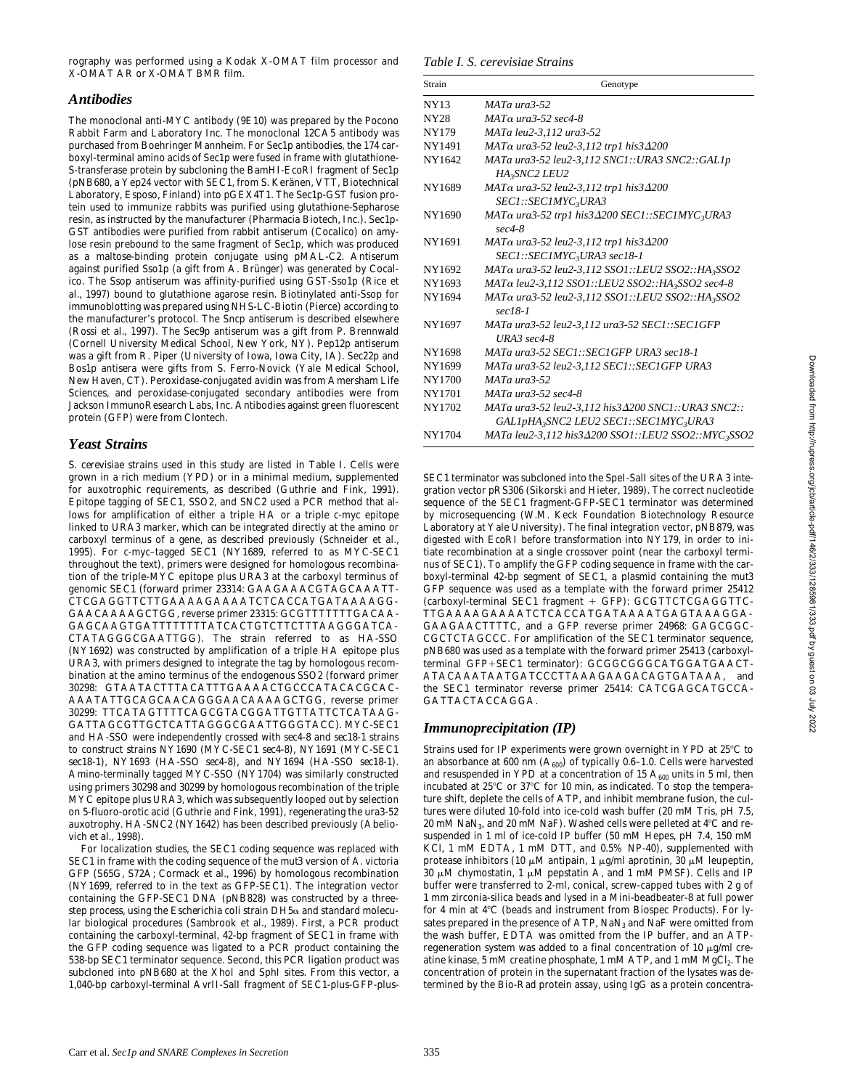rography was performed using a Kodak X-OMAT film processor and X-OMAT AR or X-OMAT BMR film.

### *Antibodies*

The monoclonal anti-MYC antibody (9E10) was prepared by the Pocono Rabbit Farm and Laboratory Inc. The monoclonal 12CA5 antibody was purchased from Boehringer Mannheim. For Sec1p antibodies, the 174 carboxyl-terminal amino acids of Sec1p were fused in frame with glutathione-S-transferase protein by subcloning the BamHI-EcoRI fragment of Sec1p (pNB680, a Yep24 vector with SEC1, from S. Keränen, VTT, Biotechnical Laboratory, Esposo, Finland) into pGEX4T1. The Sec1p-GST fusion protein used to immunize rabbits was purified using glutathione-Sepharose resin, as instructed by the manufacturer (Pharmacia Biotech, Inc.). Sec1p-GST antibodies were purified from rabbit antiserum (Cocalico) on amylose resin prebound to the same fragment of Sec1p, which was produced as a maltose-binding protein conjugate using pMAL-C2. Antiserum against purified Sso1p (a gift from A. Brünger) was generated by Cocalico. The Ssop antiserum was affinity-purified using GST-Sso1p (Rice et al., 1997) bound to glutathione agarose resin. Biotinylated anti-Ssop for immunoblotting was prepared using NHS-LC-Biotin (Pierce) according to the manufacturer's protocol. The Sncp antiserum is described elsewhere (Rossi et al., 1997). The Sec9p antiserum was a gift from P. Brennwald (Cornell University Medical School, New York, NY). Pep12p antiserum was a gift from R. Piper (University of Iowa, Iowa City, IA). Sec22p and Bos1p antisera were gifts from S. Ferro-Novick (Yale Medical School, New Haven, CT). Peroxidase-conjugated avidin was from Amersham Life Sciences, and peroxidase-conjugated secondary antibodies were from Jackson ImmunoResearch Labs, Inc. Antibodies against green fluorescent protein (GFP) were from Clontech.

# *Yeast Strains*

*S*. *cerevisiae* strains used in this study are listed in Table I. Cells were grown in a rich medium (YPD) or in a minimal medium, supplemented for auxotrophic requirements, as described (Guthrie and Fink, 1991). Epitope tagging of *SEC1*, *SSO2*, and *SNC2* used a PCR method that allows for amplification of either a triple HA or a triple c-myc epitope linked to *URA3* marker, which can be integrated directly at the amino or carboxyl terminus of a gene, as described previously (Schneider et al., 1995). For c-myc–tagged *SEC1* (NY1689, referred to as MYC-*SEC1* throughout the text), primers were designed for homologous recombination of the triple-MYC epitope plus *URA3* at the carboxyl terminus of genomic *SEC1* (forward primer 23314: GAAGAAACGTAGCAAATT-CTCGAGGTTCTTGAAAAGAAAATCTCACCATGATAAAAGG-GAACAAAAGCTGG, reverse primer 23315: GCGTTTTTTTGACAA-GAGCAAGTGATTTTTTTTATCACTGTCTTCTTTAAGGGATCA-CTATAGGGCGAATTGG). The strain referred to as HA*-SSO* (NY1692) was constructed by amplification of a triple HA epitope plus *URA3*, with primers designed to integrate the tag by homologous recombination at the amino terminus of the endogenous *SSO2* (forward primer 30298: GTAATACTTTACATTTGAAAACTGCCCATACACGCAC-AAATATTGCAGCAACAGGGAACAAAAGCTGG, reverse primer 30299: TTCATAGTTTTCAGCGTACGGATTGTTATTCTCATAAG-GATTAGCGTTGCTCATTAGGGCGAATTGGGTACC). MYC-*SEC1* and HA-*SSO* were independently crossed with *sec4-8* and *sec18-1* strains to construct strains NY1690 (MYC-*SEC1 sec4-8*), NY1691 (MYC-*SEC1 sec18-1*), NY1693 (HA-*SSO sec4-8*), and NY1694 (HA-*SSO sec18-1*). Amino-terminally tagged MYC-*SSO* (NY1704) was similarly constructed using primers 30298 and 30299 by homologous recombination of the triple MYC epitope plus *URA3*, which was subsequently looped out by selection on 5-fluoro-orotic acid (Guthrie and Fink, 1991), regenerating the *ura3-52* auxotrophy. HA-*SNC2* (NY1642) has been described previously (Abeliovich et al., 1998).

For localization studies, the *SEC1* coding sequence was replaced with *SEC1* in frame with the coding sequence of the *mut3* version of *A*. *victoria* GFP (S65G, S72A; Cormack et al., 1996) by homologous recombination (NY1699, referred to in the text as GFP*-SEC1*). The integration vector containing the GFP*-SEC1* DNA (pNB828) was constructed by a threestep process, using the *Escherichia coli* strain DH5a and standard molecular biological procedures (Sambrook et al., 1989). First, a PCR product containing the carboxyl-terminal, 42-bp fragment of *SEC1* in frame with the GFP coding sequence was ligated to a PCR product containing the 538-bp *SEC1* terminator sequence. Second, this PCR ligation product was subcloned into pNB680 at the XhoI and SphI sites. From this vector, a 1,040-bp carboxyl-terminal AvrII-SalI fragment of SEC1-plus-GFP-plus-

| Strain      | Genotype                                                                            |
|-------------|-------------------------------------------------------------------------------------|
| <b>NY13</b> | $MATA$ ura $3-52$                                                                   |
| <b>NY28</b> | $MAT\alpha$ ura 3-52 sec 4-8                                                        |
| NY179       | MATa leu2-3,112 ura3-52                                                             |
| NY1491      | MATα ura3-52 leu2-3,112 trp1 his3Δ200                                               |
| NY1642      | MATa ura3-52 leu2-3,112 SNC1::URA3 SNC2::GAL1p<br>HA3SNC2 LEU2                      |
| NY1689      | MATα ura3-52 leu2-3,112 trp1 his3Δ200<br>SEC1::SEC1MYC3URA3                         |
| NY1690      | MATα ura3-52 trp1 his3Δ200 SEC1::SEC1MYC <sub>3</sub> URA3<br>$sec4-8$              |
| NY1691      | $MAT\alpha$ ura3-52 leu2-3,112 trp1 his3 $\Delta$ 200<br>SEC1::SEC1MYC3URA3 sec18-1 |
| NY1692      | MATα ura3-52 leu2-3,112 SSO1::LEU2 SSO2::HA3SSO2                                    |
| NY1693      | $MAT\alpha$ leu2-3,112 SSO1::LEU2 SSO2::HA3SSO2 sec4-8                              |
| NY1694      | MATα ura3-52 leu2-3,112 SSO1::LEU2 SSO2::HA3SSO2<br>$sec18-1$                       |
| NY1697      | MATa ura3-52 leu2-3,112 ura3-52 SEC1::SEC1GFP<br>$URA3 \, sec4-8$                   |
| NY1698      | MATa ura3-52 SEC1::SEC1GFP URA3 sec18-1                                             |
| NY1699      | MATa ura3-52 leu2-3,112 SEC1::SEC1GFP URA3                                          |
| NY1700      | $MATA$ ura $3-52$                                                                   |
| NY1701      | $MATA$ ura $3-52$ sec $4-8$                                                         |
| NY1702      | MATa ura3-52 leu2-3,112 his3 $\Delta$ 200 SNC1::URA3 SNC2::                         |
|             | GALIpHA 3SNC2 LEU2 SEC1::SEC1MYC3URA3                                               |
| NY1704      | MATa leu2-3,112 his3 $\Delta$ 200 SSO1::LEU2 SSO2::MYC3SSO2                         |

SEC1 terminator was subcloned into the SpeI-SalI sites of the URA3 integration vector pRS306 (Sikorski and Hieter, 1989). The correct nucleotide sequence of the SEC1 fragment-GFP-SEC1 terminator was determined by microsequencing (W.M. Keck Foundation Biotechnology Resource Laboratory at Yale University). The final integration vector, pNB879, was digested with EcoRI before transformation into NY179, in order to initiate recombination at a single crossover point (near the carboxyl terminus of *SEC1*). To amplify the GFP coding sequence in frame with the carboxyl-terminal 42-bp segment of SEC1, a plasmid containing the *mut3* GFP sequence was used as a template with the forward primer 25412 (carboxyl-terminal *SEC1* fragment + GFP): GCGTTCTCGAGGTTC-TTGAAAAGAAAATCTCACCATGATAAAATGAGTAAAGGA-GAAGAACTTTTC, and a GFP reverse primer 24968: GAGCGGC-CGCTCTAGCCC. For amplification of the *SEC1* terminator sequence, pNB680 was used as a template with the forward primer 25413 (carboxylterminal GFP+SEC1 terminator): GCGGCGGGCATGGATGAACT-ATACAAATAATGATCCCTTAAAGAAGACAGTGATAAA, and the *SEC1* terminator reverse primer 25414: CATCGAGCATGCCA-GATTACTACCAGGA.

# *Immunoprecipitation (IP)*

Strains used for IP experiments were grown overnight in YPD at 25°C to an absorbance at 600 nm  $(A_{600})$  of typically 0.6–1.0. Cells were harvested and resuspended in YPD at a concentration of 15  $A_{600}$  units in 5 ml, then incubated at  $25^{\circ}$ C or  $37^{\circ}$ C for 10 min, as indicated. To stop the temperature shift, deplete the cells of ATP, and inhibit membrane fusion, the cultures were diluted 10-fold into ice-cold wash buffer (20 mM Tris, pH 7.5, 20 mM NaN<sub>3</sub>, and 20 mM NaF). Washed cells were pelleted at  $4^{\circ}$ C and resuspended in 1 ml of ice-cold IP buffer (50 mM Hepes, pH 7.4, 150 mM KCl, 1 mM EDTA, 1 mM DTT, and 0.5% NP-40), supplemented with protease inhibitors (10  $\mu$ M antipain, 1  $\mu$ g/ml aprotinin, 30  $\mu$ M leupeptin, 30  $\mu$ M chymostatin, 1  $\mu$ M pepstatin A, and 1 mM PMSF). Cells and IP buffer were transferred to 2-ml, conical, screw-capped tubes with 2 g of 1 mm zirconia-silica beads and lysed in a Mini-beadbeater-8 at full power for 4 min at 4°C (beads and instrument from Biospec Products). For lysates prepared in the presence of ATP, NaN<sub>3</sub> and NaF were omitted from the wash buffer, EDTA was omitted from the IP buffer, and an ATPregeneration system was added to a final concentration of 10  $\mu$ g/ml creatine kinase, 5 mM creatine phosphate, 1 mM ATP, and 1 mM MgCl2. The concentration of protein in the supernatant fraction of the lysates was determined by the Bio-Rad protein assay, using IgG as a protein concentra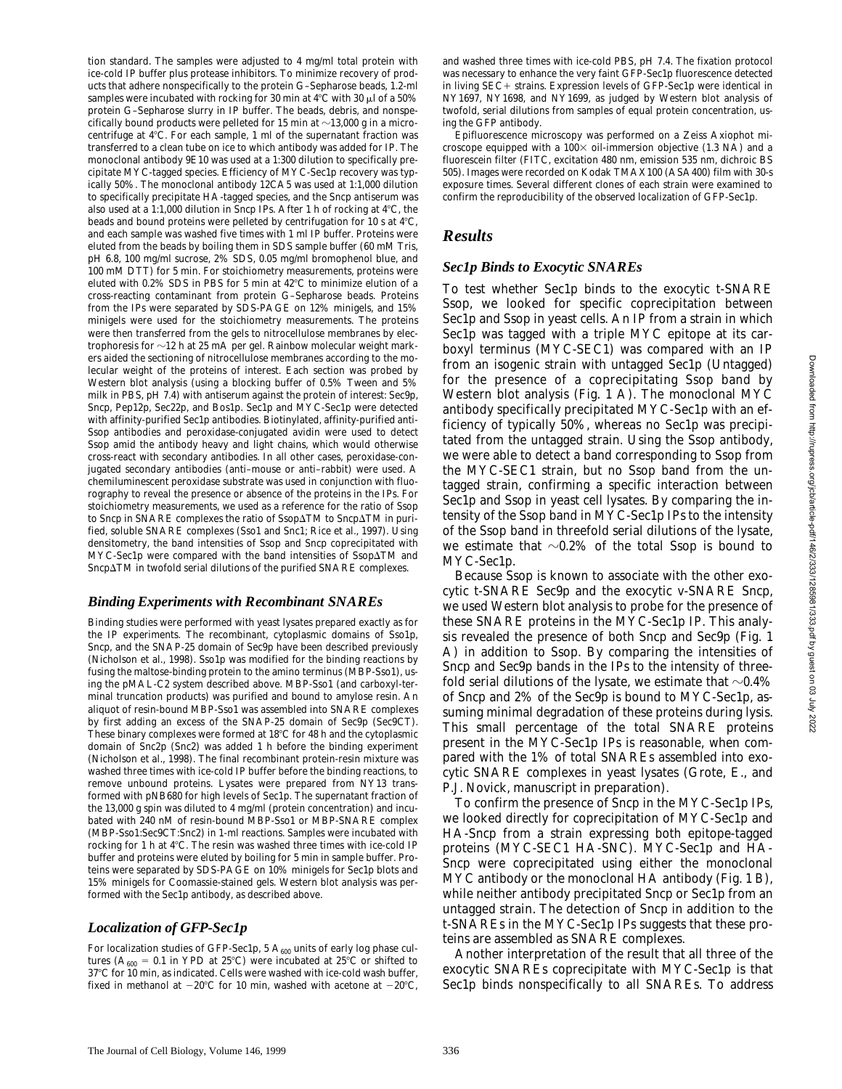tion standard. The samples were adjusted to 4 mg/ml total protein with ice-cold IP buffer plus protease inhibitors. To minimize recovery of products that adhere nonspecifically to the protein G–Sepharose beads, 1.2-ml samples were incubated with rocking for 30 min at 4°C with 30  $\mu$ l of a 50% protein G–Sepharose slurry in IP buffer. The beads, debris, and nonspecifically bound products were pelleted for 15 min at  $\sim$ 13,000 *g* in a microcentrifuge at  $4^{\circ}$ C. For each sample, 1 ml of the supernatant fraction was transferred to a clean tube on ice to which antibody was added for IP. The monoclonal antibody 9E10 was used at a 1:300 dilution to specifically precipitate MYC-tagged species. Efficiency of MYC-Sec1p recovery was typically 50%. The monoclonal antibody 12CA5 was used at 1:1,000 dilution to specifically precipitate HA-tagged species, and the Sncp antiserum was also used at a 1:1,000 dilution in Sncp IPs. After 1 h of rocking at  $4^{\circ}$ C, the beads and bound proteins were pelleted by centrifugation for 10 s at  $4^{\circ}C$ , and each sample was washed five times with 1 ml IP buffer. Proteins were eluted from the beads by boiling them in SDS sample buffer (60 mM Tris, pH 6.8, 100 mg/ml sucrose, 2% SDS, 0.05 mg/ml bromophenol blue, and 100 mM DTT) for 5 min. For stoichiometry measurements, proteins were eluted with  $0.2\%$  SDS in PBS for 5 min at  $42^{\circ}$ C to minimize elution of a cross-reacting contaminant from protein G–Sepharose beads. Proteins from the IPs were separated by SDS-PAGE on 12% minigels, and 15% minigels were used for the stoichiometry measurements. The proteins were then transferred from the gels to nitrocellulose membranes by electrophoresis for  $\sim$ 12 h at 25 mA per gel. Rainbow molecular weight markers aided the sectioning of nitrocellulose membranes according to the molecular weight of the proteins of interest. Each section was probed by Western blot analysis (using a blocking buffer of 0.5% Tween and 5% milk in PBS, pH 7.4) with antiserum against the protein of interest: Sec9p, Sncp, Pep12p, Sec22p, and Bos1p. Sec1p and MYC-Sec1p were detected with affinity-purified Sec1p antibodies. Biotinylated, affinity-purified anti-Ssop antibodies and peroxidase-conjugated avidin were used to detect Ssop amid the antibody heavy and light chains, which would otherwise cross-react with secondary antibodies. In all other cases, peroxidase-conjugated secondary antibodies (anti–mouse or anti–rabbit) were used. A chemiluminescent peroxidase substrate was used in conjunction with fluorography to reveal the presence or absence of the proteins in the IPs. For stoichiometry measurements, we used as a reference for the ratio of Ssop to Sncp in SNARE complexes the ratio of Ssop $\Delta T M$  to Sncp $\Delta T M$  in purified, soluble SNARE complexes (Sso1 and Snc1; Rice et al., 1997). Using densitometry, the band intensities of Ssop and Sncp coprecipitated with  $MYC-Sec1p$  were compared with the band intensities of  $Ssop\Delta TM$  and Sncp $\Delta$ TM in twofold serial dilutions of the purified SNARE complexes.

## *Binding Experiments with Recombinant SNAREs*

Binding studies were performed with yeast lysates prepared exactly as for the IP experiments. The recombinant, cytoplasmic domains of Sso1p, Sncp, and the SNAP-25 domain of Sec9p have been described previously (Nicholson et al., 1998). Sso1p was modified for the binding reactions by fusing the maltose-binding protein to the amino terminus (MBP-Sso1), using the pMAL-C2 system described above. MBP-Sso1 (and carboxyl-terminal truncation products) was purified and bound to amylose resin. An aliquot of resin-bound MBP-Sso1 was assembled into SNARE complexes by first adding an excess of the SNAP-25 domain of Sec9p (Sec9CT). These binary complexes were formed at  $18^{\circ}$ C for 48 h and the cytoplasmic domain of Snc2p (Snc2) was added 1 h before the binding experiment (Nicholson et al., 1998). The final recombinant protein-resin mixture was washed three times with ice-cold IP buffer before the binding reactions, to remove unbound proteins. Lysates were prepared from NY13 transformed with pNB680 for high levels of Sec1p. The supernatant fraction of the 13,000 *g* spin was diluted to 4 mg/ml (protein concentration) and incubated with 240 nM of resin-bound MBP-Sso1 or MBP-SNARE complex (MBP-Sso1:Sec9CT:Snc2) in 1-ml reactions. Samples were incubated with rocking for 1 h at 4°C. The resin was washed three times with ice-cold IP buffer and proteins were eluted by boiling for 5 min in sample buffer. Proteins were separated by SDS-PAGE on 10% minigels for Sec1p blots and 15% minigels for Coomassie-stained gels. Western blot analysis was performed with the Sec1p antibody, as described above.

# *Localization of GFP-Sec1p*

For localization studies of GFP-Sec1p, 5  $A_{600}$  units of early log phase cultures ( $A_{600} = 0.1$  in YPD at 25°C) were incubated at 25°C or shifted to 37°C for 10 min, as indicated. Cells were washed with ice-cold wash buffer, fixed in methanol at  $-20^{\circ}$ C for 10 min, washed with acetone at  $-20^{\circ}$ C, and washed three times with ice-cold PBS, pH 7.4. The fixation protocol was necessary to enhance the very faint GFP-Sec1p fluorescence detected in living *SEC*+ strains. Expression levels of GFP-Sec1p were identical in NY1697, NY1698, and NY1699, as judged by Western blot analysis of twofold, serial dilutions from samples of equal protein concentration, using the GFP antibody.

Epifluorescence microscopy was performed on a Zeiss Axiophot microscope equipped with a  $100\times$  oil-immersion objective (1.3 NA) and a fluorescein filter (FITC, excitation 480 nm, emission 535 nm, dichroic BS 505). Images were recorded on Kodak TMAX100 (ASA400) film with 30-s exposure times. Several different clones of each strain were examined to confirm the reproducibility of the observed localization of GFP-Sec1p.

# *Results*

# *Sec1p Binds to Exocytic SNAREs*

To test whether Sec1p binds to the exocytic t-SNARE Ssop, we looked for specific coprecipitation between Sec1p and Ssop in yeast cells. An IP from a strain in which Sec1p was tagged with a triple MYC epitope at its carboxyl terminus (MYC-*SEC1*) was compared with an IP from an isogenic strain with untagged Sec1p (Untagged) for the presence of a coprecipitating Ssop band by Western blot analysis (Fig. 1 A). The monoclonal MYC antibody specifically precipitated MYC-Sec1p with an efficiency of typically 50%, whereas no Sec1p was precipitated from the untagged strain. Using the Ssop antibody, we were able to detect a band corresponding to Ssop from the MYC-*SEC1* strain, but no Ssop band from the untagged strain, confirming a specific interaction between Sec1p and Ssop in yeast cell lysates. By comparing the intensity of the Ssop band in MYC-Sec1p IPs to the intensity of the Ssop band in threefold serial dilutions of the lysate, we estimate that  $\sim 0.2\%$  of the total Ssop is bound to MYC-Sec1p.

Because Ssop is known to associate with the other exocytic t-SNARE Sec9p and the exocytic v-SNARE Sncp, we used Western blot analysis to probe for the presence of these SNARE proteins in the MYC-Sec1p IP. This analysis revealed the presence of both Sncp and Sec9p (Fig. 1 A) in addition to Ssop. By comparing the intensities of Sncp and Sec9p bands in the IPs to the intensity of threefold serial dilutions of the lysate, we estimate that  $\sim$ 0.4% of Sncp and 2% of the Sec9p is bound to MYC-Sec1p, assuming minimal degradation of these proteins during lysis. This small percentage of the total SNARE proteins present in the MYC-Sec1p IPs is reasonable, when compared with the 1% of total SNAREs assembled into exocytic SNARE complexes in yeast lysates (Grote, E., and P.J. Novick, manuscript in preparation).

To confirm the presence of Sncp in the MYC-Sec1p IPs, we looked directly for coprecipitation of MYC-Sec1p and HA-Sncp from a strain expressing both epitope-tagged proteins (MYC-*SEC1* HA-*SNC*). MYC-Sec1p and HA-Sncp were coprecipitated using either the monoclonal MYC antibody or the monoclonal HA antibody (Fig. 1 B), while neither antibody precipitated Sncp or Sec1p from an untagged strain. The detection of Sncp in addition to the t-SNAREs in the MYC-Sec1p IPs suggests that these proteins are assembled as SNARE complexes.

Another interpretation of the result that all three of the exocytic SNAREs coprecipitate with MYC-Sec1p is that Sec1p binds nonspecifically to all SNAREs. To address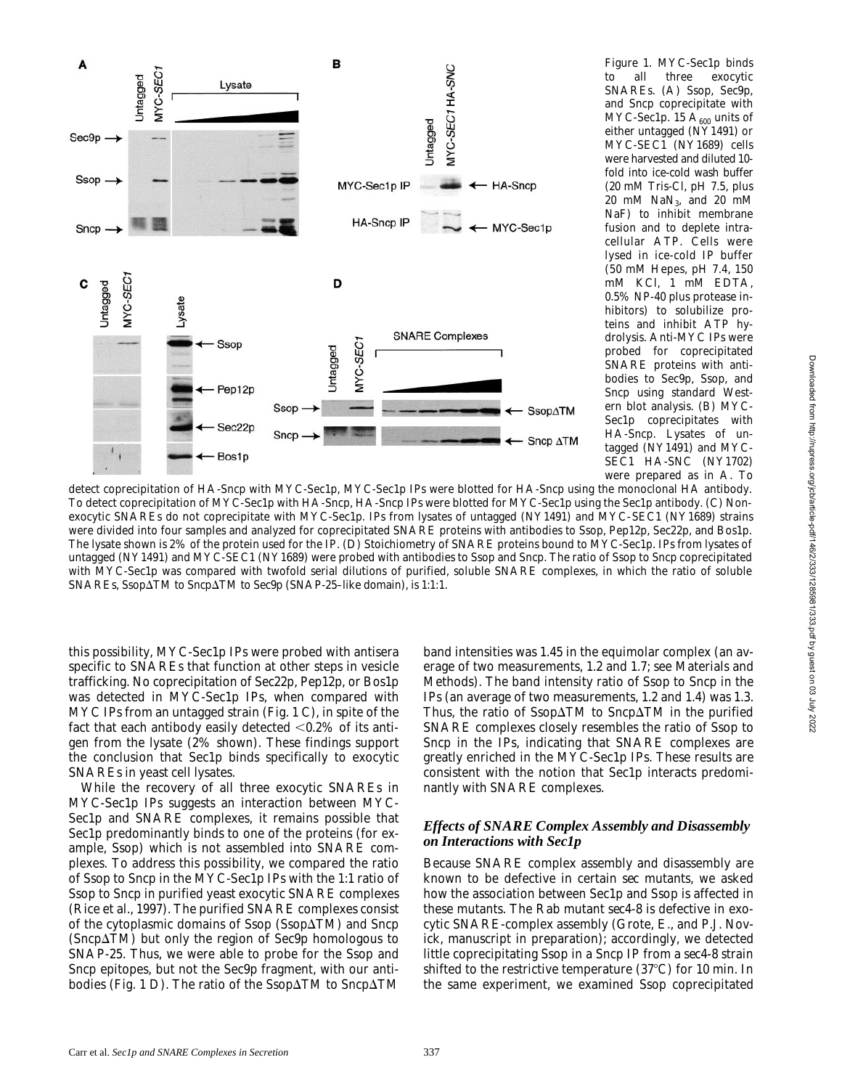

*Figure 1.* MYC-Sec1p binds to all three exocytic SNAREs. (A) Ssop, Sec9p, and Sncp coprecipitate with MYC-Sec1p. 15  $A_{600}$  units of either untagged (NY1491) or MYC-*SEC1* (NY1689) cells were harvested and diluted 10 fold into ice-cold wash buffer (20 mM Tris-Cl, pH 7.5, plus 20 mM  $\text{NaN}_3$ , and 20 mM NaF) to inhibit membrane fusion and to deplete intracellular ATP. Cells were lysed in ice-cold IP buffer (50 mM Hepes, pH 7.4, 150 mM KCl, 1 mM EDTA, 0.5% NP-40 plus protease inhibitors) to solubilize proteins and inhibit ATP hydrolysis. Anti-MYC IPs were probed for coprecipitated SNARE proteins with antibodies to Sec9p, Ssop, and Sncp using standard Western blot analysis. (B) MYC-Sec1p coprecipitates with HA-Sncp. Lysates of untagged (NY1491) and MYC-*SEC1* HA-*SNC* (NY1702) were prepared as in A. To

detect coprecipitation of HA-Sncp with MYC-Sec1p, MYC-Sec1p IPs were blotted for HA-Sncp using the monoclonal HA antibody. To detect coprecipitation of MYC-Sec1p with HA-Sncp, HA-Sncp IPs were blotted for MYC-Sec1p using the Sec1p antibody. (C) Nonexocytic SNAREs do not coprecipitate with MYC-Sec1p. IPs from lysates of untagged (NY1491) and MYC-*SEC1* (NY1689) strains were divided into four samples and analyzed for coprecipitated SNARE proteins with antibodies to Ssop, Pep12p, Sec22p, and Bos1p. The lysate shown is 2% of the protein used for the IP. (D) Stoichiometry of SNARE proteins bound to MYC-Sec1p. IPs from lysates of untagged (NY1491) and MYC-*SEC1* (NY1689) were probed with antibodies to Ssop and Sncp. The ratio of Ssop to Sncp coprecipitated with MYC-Sec1p was compared with twofold serial dilutions of purified, soluble SNARE complexes, in which the ratio of soluble SNAREs, Ssop $\Delta$ TM to Sncp $\Delta$ TM to Sec9p (SNAP-25-like domain), is 1:1:1.

this possibility, MYC-Sec1p IPs were probed with antisera specific to SNAREs that function at other steps in vesicle trafficking. No coprecipitation of Sec22p, Pep12p, or Bos1p was detected in MYC-Sec1p IPs, when compared with MYC IPs from an untagged strain (Fig. 1 C), in spite of the fact that each antibody easily detected  $< 0.2\%$  of its antigen from the lysate (2% shown). These findings support the conclusion that Sec1p binds specifically to exocytic SNAREs in yeast cell lysates.

While the recovery of all three exocytic SNAREs in MYC-Sec1p IPs suggests an interaction between MYC-Sec1p and SNARE complexes, it remains possible that Sec1p predominantly binds to one of the proteins (for example, Ssop) which is not assembled into SNARE complexes. To address this possibility, we compared the ratio of Ssop to Sncp in the MYC-Sec1p IPs with the 1:1 ratio of Ssop to Sncp in purified yeast exocytic SNARE complexes (Rice et al., 1997). The purified SNARE complexes consist of the cytoplasmic domains of Ssop (Ssop $\Delta TM$ ) and Sncp  $(Sncp\Delta TM)$  but only the region of Sec9p homologous to SNAP-25. Thus, we were able to probe for the Ssop and Sncp epitopes, but not the Sec9p fragment, with our antibodies (Fig. 1 D). The ratio of the Ssop $\Delta TM$  to Sncp $\Delta TM$ 

band intensities was 1.45 in the equimolar complex (an average of two measurements, 1.2 and 1.7; see Materials and Methods). The band intensity ratio of Ssop to Sncp in the IPs (an average of two measurements, 1.2 and 1.4) was 1.3. Thus, the ratio of Ssop $\Delta$ TM to Sncp $\Delta$ TM in the purified SNARE complexes closely resembles the ratio of Ssop to Sncp in the IPs, indicating that SNARE complexes are greatly enriched in the MYC-Sec1p IPs. These results are consistent with the notion that Sec1p interacts predominantly with SNARE complexes.

### *Effects of SNARE Complex Assembly and Disassembly on Interactions with Sec1p*

Because SNARE complex assembly and disassembly are known to be defective in certain *sec* mutants, we asked how the association between Sec1p and Ssop is affected in these mutants. The Rab mutant *sec4-8* is defective in exocytic SNARE-complex assembly (Grote, E., and P.J. Novick, manuscript in preparation); accordingly, we detected little coprecipitating Ssop in a Sncp IP from a *sec4-8* strain shifted to the restrictive temperature  $(37^{\circ}C)$  for 10 min. In the same experiment, we examined Ssop coprecipitated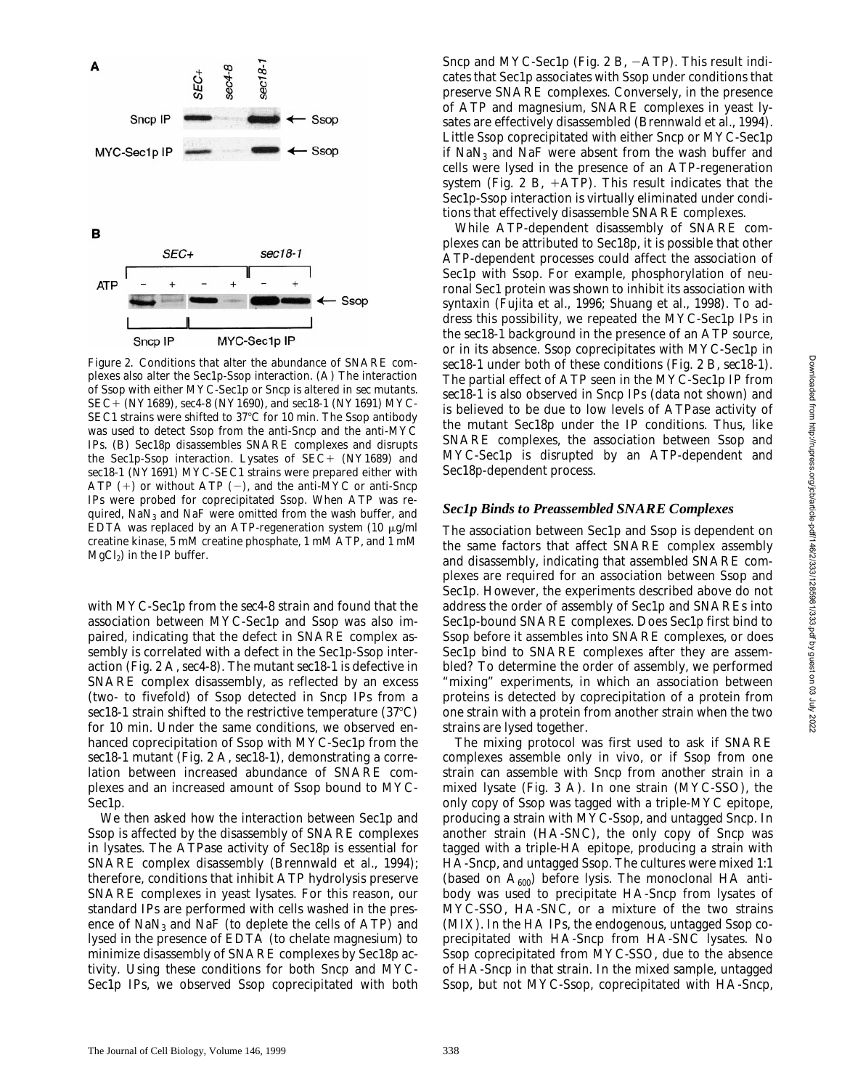

*Figure 2.* Conditions that alter the abundance of SNARE complexes also alter the Sec1p-Ssop interaction. (A) The interaction of Ssop with either MYC-Sec1p or Sncp is altered in *sec* mutants. *SEC*1 (NY1689), *sec4-8* (NY1690), and *sec18-1* (NY1691) MYC-*SEC1* strains were shifted to 37°C for 10 min. The Ssop antibody was used to detect Ssop from the anti-Sncp and the anti-MYC IPs. (B) Sec18p disassembles SNARE complexes and disrupts the Sec1p-Ssop interaction. Lysates of *SEC*+ (NY1689) and *sec18-1* (NY1691) MYC-*SEC1* strains were prepared either with ATP  $(+)$  or without ATP  $(-)$ , and the anti-MYC or anti-Sncp IPs were probed for coprecipitated Ssop. When ATP was required,  $\text{NaN}_3$  and  $\text{NaF}$  were omitted from the wash buffer, and EDTA was replaced by an ATP-regeneration system (10  $\mu$ g/ml creatine kinase, 5 mM creatine phosphate, 1 mM ATP, and 1 mM  $MgCl<sub>2</sub>$ ) in the IP buffer.

with MYC-Sec1p from the *sec4-8* strain and found that the association between MYC-Sec1p and Ssop was also impaired, indicating that the defect in SNARE complex assembly is correlated with a defect in the Sec1p-Ssop interaction (Fig. 2 A, *sec4-8*). The mutant *sec18-1* is defective in SNARE complex disassembly, as reflected by an excess (two- to fivefold) of Ssop detected in Sncp IPs from a  $sec18-1$  strain shifted to the restrictive temperature  $(37^{\circ}C)$ for 10 min. Under the same conditions, we observed enhanced coprecipitation of Ssop with MYC-Sec1p from the *sec18-1* mutant (Fig. 2 A, *sec18-1*), demonstrating a correlation between increased abundance of SNARE complexes and an increased amount of Ssop bound to MYC-Sec1p.

We then asked how the interaction between Sec1p and Ssop is affected by the disassembly of SNARE complexes in lysates. The ATPase activity of Sec18p is essential for SNARE complex disassembly (Brennwald et al., 1994); therefore, conditions that inhibit ATP hydrolysis preserve SNARE complexes in yeast lysates. For this reason, our standard IPs are performed with cells washed in the presence of  $\text{Na}\text{N}_3$  and  $\text{Na}\text{F}$  (to deplete the cells of ATP) and lysed in the presence of EDTA (to chelate magnesium) to minimize disassembly of SNARE complexes by Sec18p activity. Using these conditions for both Sncp and MYC-Sec1p IPs, we observed Ssop coprecipitated with both Sncp and MYC-Sec1p (Fig. 2 B,  $-ATP$ ). This result indicates that Sec1p associates with Ssop under conditions that preserve SNARE complexes. Conversely, in the presence of ATP and magnesium, SNARE complexes in yeast lysates are effectively disassembled (Brennwald et al., 1994). Little Ssop coprecipitated with either Sncp or MYC-Sec1p if  $NaN<sub>3</sub>$  and  $NaF$  were absent from the wash buffer and cells were lysed in the presence of an ATP-regeneration system (Fig. 2 B,  $+ATP$ ). This result indicates that the Sec1p-Ssop interaction is virtually eliminated under conditions that effectively disassemble SNARE complexes.

While ATP-dependent disassembly of SNARE complexes can be attributed to Sec18p, it is possible that other ATP-dependent processes could affect the association of Sec1p with Ssop. For example, phosphorylation of neuronal Sec1 protein was shown to inhibit its association with syntaxin (Fujita et al., 1996; Shuang et al., 1998). To address this possibility, we repeated the MYC-Sec1p IPs in the *sec18-1* background in the presence of an ATP source, or in its absence. Ssop coprecipitates with MYC-Sec1p in *sec18-1* under both of these conditions (Fig. 2 B, *sec18-1*). The partial effect of ATP seen in the MYC-Sec1p IP from *sec18-1* is also observed in Sncp IPs (data not shown) and is believed to be due to low levels of ATPase activity of the mutant Sec18p under the IP conditions. Thus, like SNARE complexes, the association between Ssop and MYC-Sec1p is disrupted by an ATP-dependent and Sec18p-dependent process.

### *Sec1p Binds to Preassembled SNARE Complexes*

The association between Sec1p and Ssop is dependent on the same factors that affect SNARE complex assembly and disassembly, indicating that assembled SNARE complexes are required for an association between Ssop and Sec1p. However, the experiments described above do not address the order of assembly of Sec1p and SNAREs into Sec1p-bound SNARE complexes. Does Sec1p first bind to Ssop before it assembles into SNARE complexes, or does Sec1p bind to SNARE complexes after they are assembled? To determine the order of assembly, we performed "mixing" experiments, in which an association between proteins is detected by coprecipitation of a protein from one strain with a protein from another strain when the two strains are lysed together.

The mixing protocol was first used to ask if SNARE complexes assemble only in vivo, or if Ssop from one strain can assemble with Sncp from another strain in a mixed lysate (Fig. 3 A). In one strain (MYC-*SSO*), the only copy of Ssop was tagged with a triple-MYC epitope, producing a strain with MYC-Ssop, and untagged Sncp. In another strain (HA-*SNC*), the only copy of Sncp was tagged with a triple-HA epitope, producing a strain with HA-Sncp, and untagged Ssop. The cultures were mixed 1:1 (based on  $A_{600}$ ) before lysis. The monoclonal HA antibody was used to precipitate HA-Sncp from lysates of MYC-*SSO*, HA-*SNC*, or a mixture of the two strains (MIX). In the HA IPs, the endogenous, untagged Ssop coprecipitated with HA-Sncp from HA-*SNC* lysates. No Ssop coprecipitated from MYC-*SSO*, due to the absence of HA-Sncp in that strain. In the mixed sample, untagged Ssop, but not MYC-Ssop, coprecipitated with HA-Sncp,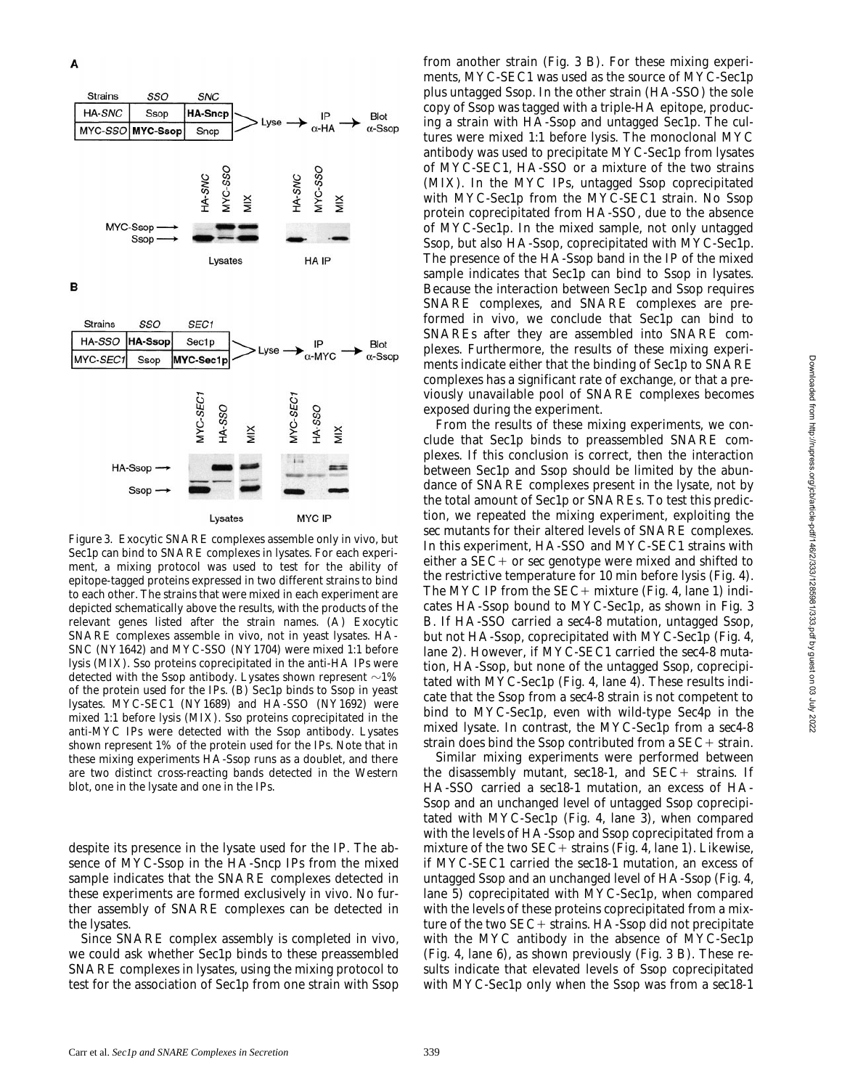

*Figure 3.* Exocytic SNARE complexes assemble only in vivo, but Sec1p can bind to SNARE complexes in lysates. For each experiment, a mixing protocol was used to test for the ability of epitope-tagged proteins expressed in two different strains to bind to each other. The strains that were mixed in each experiment are depicted schematically above the results, with the products of the relevant genes listed after the strain names. (A) Exocytic SNARE complexes assemble in vivo, not in yeast lysates. HA-*SNC* (NY1642) and MYC-*SSO* (NY1704) were mixed 1:1 before lysis (MIX). Sso proteins coprecipitated in the anti-HA IPs were detected with the Ssop antibody. Lysates shown represent  $\sim$ 1% of the protein used for the IPs. (B) Sec1p binds to Ssop in yeast lysates. MYC-*SEC1* (NY1689) and HA-*SSO* (NY1692) were mixed 1:1 before lysis (MIX). Sso proteins coprecipitated in the anti-MYC IPs were detected with the Ssop antibody. Lysates shown represent 1% of the protein used for the IPs. Note that in these mixing experiments HA-Ssop runs as a doublet, and there are two distinct cross-reacting bands detected in the Western blot, one in the lysate and one in the IPs.

despite its presence in the lysate used for the IP. The absence of MYC-Ssop in the HA-Sncp IPs from the mixed sample indicates that the SNARE complexes detected in these experiments are formed exclusively in vivo. No further assembly of SNARE complexes can be detected in the lysates.

Since SNARE complex assembly is completed in vivo, we could ask whether Sec1p binds to these preassembled SNARE complexes in lysates, using the mixing protocol to test for the association of Sec1p from one strain with Ssop from another strain (Fig. 3 B). For these mixing experiments, MYC-*SEC1* was used as the source of MYC-Sec1p plus untagged Ssop. In the other strain (HA-*SSO*) the sole copy of Ssop was tagged with a triple-HA epitope, producing a strain with HA-Ssop and untagged Sec1p. The cultures were mixed 1:1 before lysis. The monoclonal MYC antibody was used to precipitate MYC-Sec1p from lysates of MYC-*SEC1*, HA-*SSO* or a mixture of the two strains (MIX). In the MYC IPs, untagged Ssop coprecipitated with MYC-Sec1p from the MYC-*SEC1* strain. No Ssop protein coprecipitated from HA-*SSO*, due to the absence of MYC-Sec1p. In the mixed sample, not only untagged Ssop, but also HA-Ssop, coprecipitated with MYC-Sec1p. The presence of the HA-Ssop band in the IP of the mixed sample indicates that Sec1p can bind to Ssop in lysates. Because the interaction between Sec1p and Ssop requires SNARE complexes, and SNARE complexes are preformed in vivo, we conclude that Sec1p can bind to SNAREs after they are assembled into SNARE complexes. Furthermore, the results of these mixing experiments indicate either that the binding of Sec1p to SNARE complexes has a significant rate of exchange, or that a previously unavailable pool of SNARE complexes becomes exposed during the experiment.

From the results of these mixing experiments, we conclude that Sec1p binds to preassembled SNARE complexes. If this conclusion is correct, then the interaction between Sec1p and Ssop should be limited by the abundance of SNARE complexes present in the lysate, not by the total amount of Sec1p or SNAREs. To test this prediction, we repeated the mixing experiment, exploiting the *sec* mutants for their altered levels of SNARE complexes. In this experiment, HA-*SSO* and MYC-*SEC1* strains with either a *SEC*+ or *sec* genotype were mixed and shifted to the restrictive temperature for 10 min before lysis (Fig. 4). The MYC IP from the *SEC*+ mixture (Fig. 4, lane 1) indicates HA-Ssop bound to MYC-Sec1p, as shown in Fig. 3 B. If HA-*SSO* carried a *sec4-8* mutation, untagged Ssop, but not HA-Ssop, coprecipitated with MYC-Sec1p (Fig. 4, lane 2). However, if MYC-*SEC1* carried the *sec4-8* mutation, HA-Ssop, but none of the untagged Ssop, coprecipitated with MYC-Sec1p (Fig. 4, lane 4). These results indicate that the Ssop from a *sec4-8* strain is not competent to bind to MYC-Sec1p, even with wild-type Sec4p in the mixed lysate. In contrast, the MYC-Sec1p from a *sec4-8* strain does bind the Ssop contributed from a *SEC*+ strain.

Similar mixing experiments were performed between the disassembly mutant, *sec18-1*, and *SEC*+ strains. If HA-*SSO* carried a *sec18-1* mutation, an excess of HA-Ssop and an unchanged level of untagged Ssop coprecipitated with MYC-Sec1p (Fig. 4, lane 3), when compared with the levels of HA-Ssop and Ssop coprecipitated from a mixture of the two  $SEC+$  strains (Fig. 4, lane 1). Likewise, if MYC-*SEC1* carried the *sec18-1* mutation, an excess of untagged Ssop and an unchanged level of HA-Ssop (Fig. 4, lane 5) coprecipitated with MYC-Sec1p, when compared with the levels of these proteins coprecipitated from a mixture of the two *SEC*+ strains. HA-Ssop did not precipitate with the MYC antibody in the absence of MYC-Sec1p (Fig. 4, lane 6), as shown previously (Fig. 3 B). These results indicate that elevated levels of Ssop coprecipitated with MYC-Sec1p only when the Ssop was from a *sec18-1*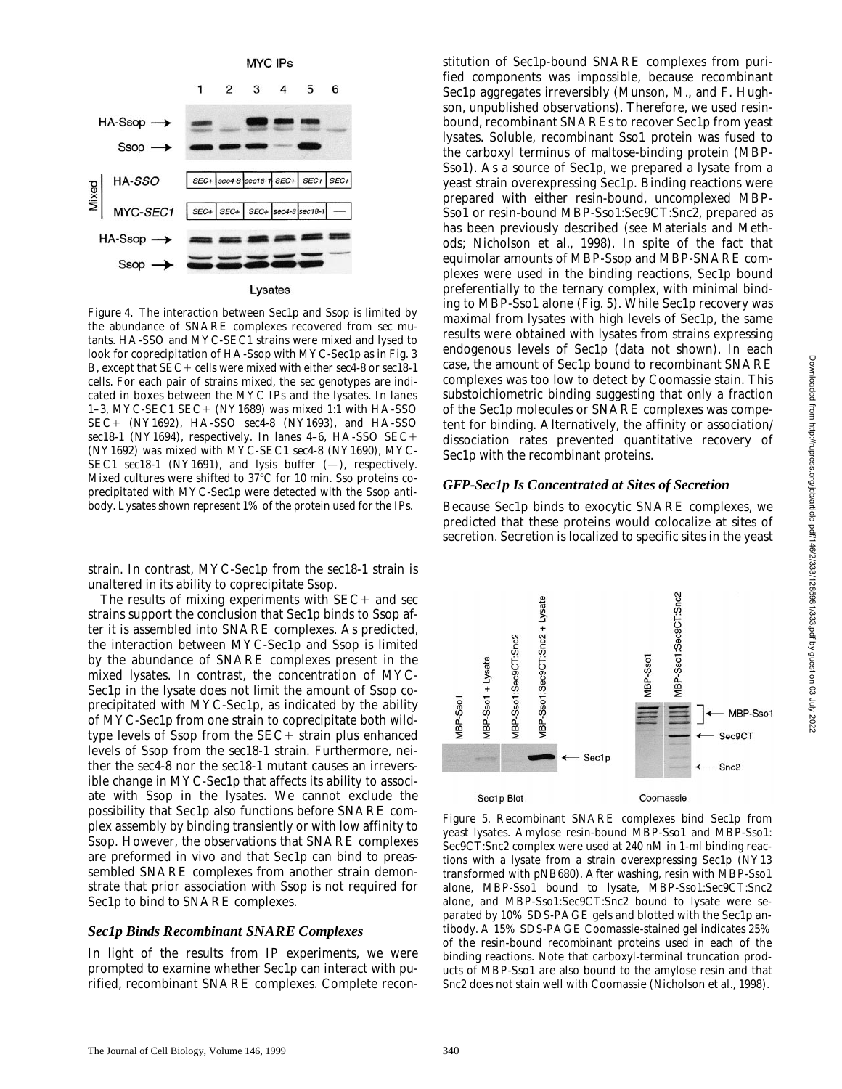

*Figure 4.* The interaction between Sec1p and Ssop is limited by the abundance of SNARE complexes recovered from *sec* mutants. HA-*SSO* and MYC-*SEC1* strains were mixed and lysed to look for coprecipitation of HA-Ssop with MYC-Sec1p as in Fig. 3 B, except that *SEC*1 cells were mixed with either *sec4-8* or *sec18-1* cells. For each pair of strains mixed, the *sec* genotypes are indicated in boxes between the MYC IPs and the lysates. In lanes 1–3, MYC-*SEC1 SEC*1 (NY1689) was mixed 1:1 with HA-*SSO SEC*1 (NY1692), HA-*SSO sec4-8* (NY1693), and HA-*SSO sec18-1* (NY1694), respectively. In lanes 4–6, HA-*SSO SEC*1 (NY1692) was mixed with MYC-*SEC1 sec4-8* (NY1690), MYC-*SEC1 sec18-1* (NY1691), and lysis buffer (—), respectively. Mixed cultures were shifted to  $37^{\circ}$ C for 10 min. Sso proteins coprecipitated with MYC-Sec1p were detected with the Ssop antibody. Lysates shown represent 1% of the protein used for the IPs.

strain. In contrast, MYC-Sec1p from the *sec18-1* strain is unaltered in its ability to coprecipitate Ssop.

The results of mixing experiments with *SEC*+ and *sec* strains support the conclusion that Sec1p binds to Ssop after it is assembled into SNARE complexes. As predicted, the interaction between MYC-Sec1p and Ssop is limited by the abundance of SNARE complexes present in the mixed lysates. In contrast, the concentration of MYC-Sec1p in the lysate does not limit the amount of Ssop coprecipitated with MYC-Sec1p, as indicated by the ability of MYC-Sec1p from one strain to coprecipitate both wildtype levels of Ssop from the *SEC*+ strain plus enhanced levels of Ssop from the *sec18-1* strain. Furthermore, neither the *sec4-8* nor the *sec18-1* mutant causes an irreversible change in MYC-Sec1p that affects its ability to associate with Ssop in the lysates. We cannot exclude the possibility that Sec1p also functions before SNARE complex assembly by binding transiently or with low affinity to Ssop. However, the observations that SNARE complexes are preformed in vivo and that Sec1p can bind to preassembled SNARE complexes from another strain demonstrate that prior association with Ssop is not required for Sec1p to bind to SNARE complexes.

### *Sec1p Binds Recombinant SNARE Complexes*

In light of the results from IP experiments, we were prompted to examine whether Sec1p can interact with purified, recombinant SNARE complexes. Complete reconstitution of Sec1p-bound SNARE complexes from purified components was impossible, because recombinant Sec1p aggregates irreversibly (Munson, M., and F. Hughson, unpublished observations). Therefore, we used resinbound, recombinant SNAREs to recover Sec1p from yeast lysates. Soluble, recombinant Sso1 protein was fused to the carboxyl terminus of maltose-binding protein (MBP-Sso1). As a source of Sec1p, we prepared a lysate from a yeast strain overexpressing Sec1p. Binding reactions were prepared with either resin-bound, uncomplexed MBP-Sso1 or resin-bound MBP-Sso1:Sec9CT:Snc2, prepared as has been previously described (see Materials and Methods; Nicholson et al., 1998). In spite of the fact that equimolar amounts of MBP-Ssop and MBP-SNARE complexes were used in the binding reactions, Sec1p bound preferentially to the ternary complex, with minimal binding to MBP-Sso1 alone (Fig. 5). While Sec1p recovery was maximal from lysates with high levels of Sec1p, the same results were obtained with lysates from strains expressing endogenous levels of Sec1p (data not shown). In each case, the amount of Sec1p bound to recombinant SNARE complexes was too low to detect by Coomassie stain. This substoichiometric binding suggesting that only a fraction of the Sec1p molecules or SNARE complexes was competent for binding. Alternatively, the affinity or association/ dissociation rates prevented quantitative recovery of Sec1p with the recombinant proteins.

### *GFP-Sec1p Is Concentrated at Sites of Secretion*

Because Sec1p binds to exocytic SNARE complexes, we predicted that these proteins would colocalize at sites of secretion. Secretion is localized to specific sites in the yeast



*Figure 5.* Recombinant SNARE complexes bind Sec1p from yeast lysates. Amylose resin-bound MBP-Sso1 and MBP-Sso1: Sec9CT:Snc2 complex were used at 240 nM in 1-ml binding reactions with a lysate from a strain overexpressing Sec1p (NY13 transformed with pNB680). After washing, resin with MBP-Sso1 alone, MBP-Sso1 bound to lysate, MBP-Sso1:Sec9CT:Snc2 alone, and MBP-Sso1:Sec9CT:Snc2 bound to lysate were separated by 10% SDS-PAGE gels and blotted with the Sec1p antibody. A 15% SDS-PAGE Coomassie-stained gel indicates 25% of the resin-bound recombinant proteins used in each of the binding reactions. Note that carboxyl-terminal truncation products of MBP-Sso1 are also bound to the amylose resin and that Snc2 does not stain well with Coomassie (Nicholson et al., 1998).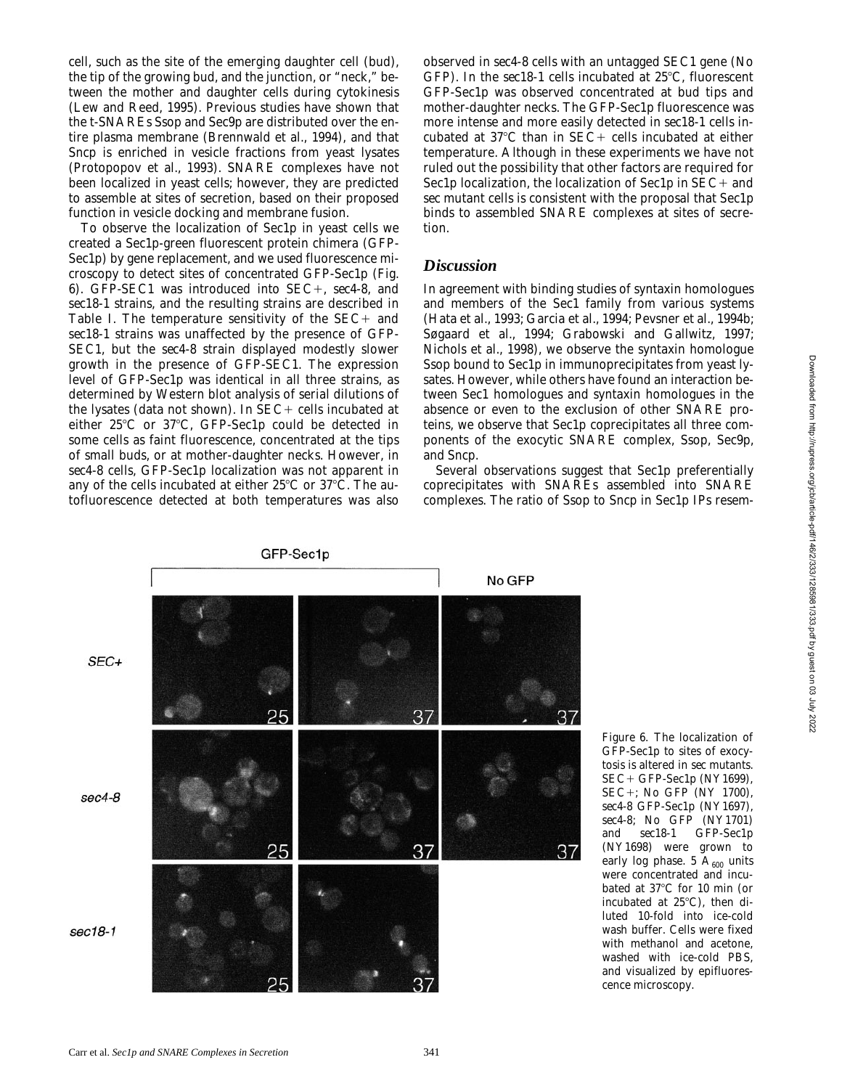cell, such as the site of the emerging daughter cell (bud), the tip of the growing bud, and the junction, or "neck," between the mother and daughter cells during cytokinesis (Lew and Reed, 1995). Previous studies have shown that the t-SNAREs Ssop and Sec9p are distributed over the entire plasma membrane (Brennwald et al., 1994), and that Sncp is enriched in vesicle fractions from yeast lysates (Protopopov et al., 1993). SNARE complexes have not been localized in yeast cells; however, they are predicted to assemble at sites of secretion, based on their proposed function in vesicle docking and membrane fusion.

To observe the localization of Sec1p in yeast cells we created a Sec1p-green fluorescent protein chimera (GFP-Sec1p) by gene replacement, and we used fluorescence microscopy to detect sites of concentrated GFP-Sec1p (Fig. 6). GFP-*SEC1* was introduced into *SEC*+, *sec4-8*, and *sec18-1* strains, and the resulting strains are described in Table I. The temperature sensitivity of the *SEC*+ and *sec18-1* strains was unaffected by the presence of GFP-*SEC1*, but the *sec4-8* strain displayed modestly slower growth in the presence of GFP-*SEC1*. The expression level of GFP-Sec1p was identical in all three strains, as determined by Western blot analysis of serial dilutions of the lysates (data not shown). In *SEC*+ cells incubated at either  $25^{\circ}$ C or  $37^{\circ}$ C, GFP-Sec1p could be detected in some cells as faint fluorescence, concentrated at the tips of small buds, or at mother-daughter necks. However, in *sec4-8* cells, GFP-Sec1p localization was not apparent in any of the cells incubated at either  $25^{\circ}$ C or  $37^{\circ}$ C. The autofluorescence detected at both temperatures was also observed in *sec4-8* cells with an untagged *SEC1* gene (No GFP). In the *sec18-1* cells incubated at 25°C, fluorescent GFP-Sec1p was observed concentrated at bud tips and mother-daughter necks. The GFP-Sec1p fluorescence was more intense and more easily detected in *sec18-1* cells incubated at 37°C than in *SEC*+ cells incubated at either temperature. Although in these experiments we have not ruled out the possibility that other factors are required for Sec1p localization, the localization of Sec1p in *SEC*+ and *sec* mutant cells is consistent with the proposal that Sec1p binds to assembled SNARE complexes at sites of secretion.

# *Discussion*

In agreement with binding studies of syntaxin homologues and members of the Sec1 family from various systems (Hata et al., 1993; Garcia et al., 1994; Pevsner et al., 1994b; Søgaard et al., 1994; Grabowski and Gallwitz, 1997; Nichols et al., 1998), we observe the syntaxin homologue Ssop bound to Sec1p in immunoprecipitates from yeast lysates. However, while others have found an interaction between Sec1 homologues and syntaxin homologues in the absence or even to the exclusion of other SNARE proteins, we observe that Sec1p coprecipitates all three components of the exocytic SNARE complex, Ssop, Sec9p, and Sncp.

Several observations suggest that Sec1p preferentially coprecipitates with SNAREs assembled into SNARE complexes. The ratio of Ssop to Sncp in Sec1p IPs resem-



*Figure 6.* The localization of GFP-Sec1p to sites of exocytosis is altered in *sec* mutants. *SEC*+ GFP-Sec1p (NY1699), *SEC*+; No GFP (NY 1700), *sec4-8* GFP-Sec1p (NY1697), *sec4-8*; No GFP (NY1701) and *sec18-1* GFP-Sec1p (NY1698) were grown to early log phase. 5  $A_{600}$  units were concentrated and incubated at  $37^{\circ}$ C for 10 min (or incubated at  $25^{\circ}$ C), then diluted 10-fold into ice-cold wash buffer. Cells were fixed with methanol and acetone, washed with ice-cold PBS, and visualized by epifluorescence microscopy.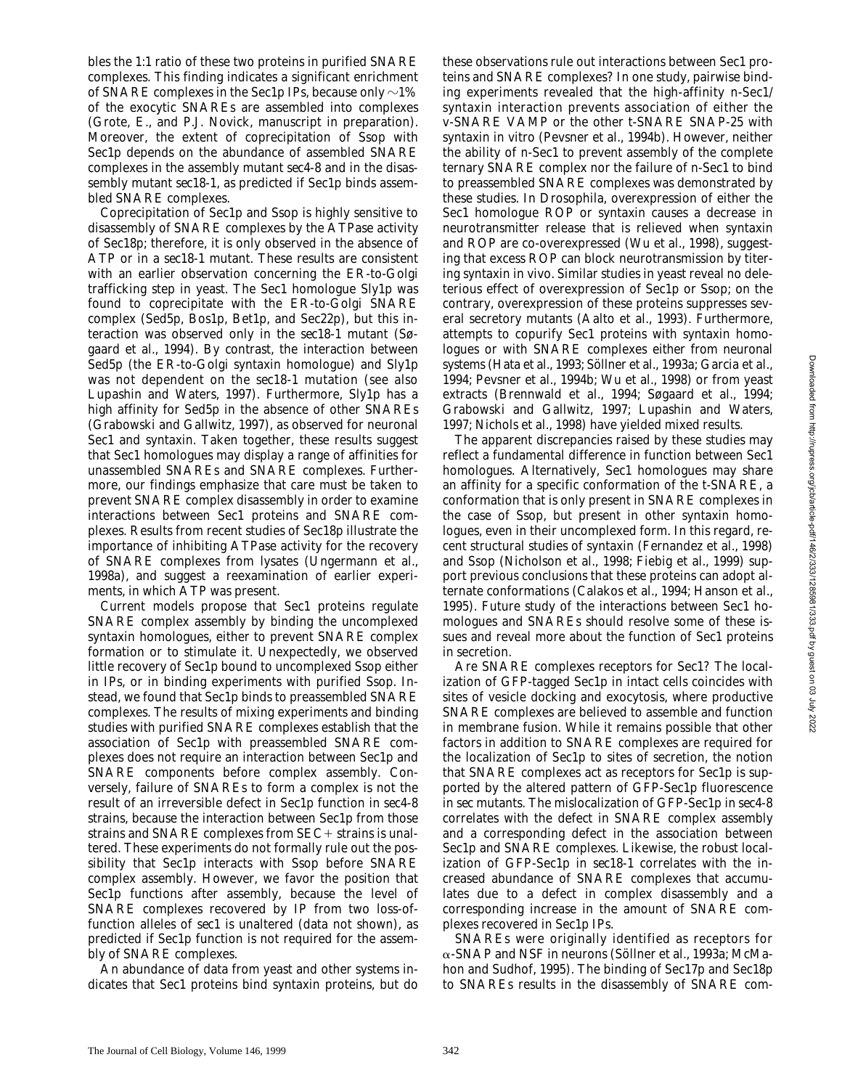bles the 1:1 ratio of these two proteins in purified SNARE complexes. This finding indicates a significant enrichment of SNARE complexes in the Sec1p IPs, because only  $\sim$ 1% of the exocytic SNAREs are assembled into complexes (Grote, E., and P.J. Novick, manuscript in preparation). Moreover, the extent of coprecipitation of Ssop with Sec1p depends on the abundance of assembled SNARE complexes in the assembly mutant *sec4-8* and in the disassembly mutant *sec18-1*, as predicted if Sec1p binds assembled SNARE complexes.

Coprecipitation of Sec1p and Ssop is highly sensitive to disassembly of SNARE complexes by the ATPase activity of Sec18p; therefore, it is only observed in the absence of ATP or in a *sec18-1* mutant. These results are consistent with an earlier observation concerning the ER-to-Golgi trafficking step in yeast. The Sec1 homologue Sly1p was found to coprecipitate with the ER-to-Golgi SNARE complex (Sed5p, Bos1p, Bet1p, and Sec22p), but this interaction was observed only in the *sec18-1* mutant (Søgaard et al., 1994). By contrast, the interaction between Sed5p (the ER-to-Golgi syntaxin homologue) and Sly1p was not dependent on the *sec18-1* mutation (see also Lupashin and Waters, 1997). Furthermore, Sly1p has a high affinity for Sed5p in the absence of other SNAREs (Grabowski and Gallwitz, 1997), as observed for neuronal Sec1 and syntaxin. Taken together, these results suggest that Sec1 homologues may display a range of affinities for unassembled SNAREs and SNARE complexes. Furthermore, our findings emphasize that care must be taken to prevent SNARE complex disassembly in order to examine interactions between Sec1 proteins and SNARE complexes. Results from recent studies of Sec18p illustrate the importance of inhibiting ATPase activity for the recovery of SNARE complexes from lysates (Ungermann et al., 1998a), and suggest a reexamination of earlier experiments, in which ATP was present.

Current models propose that Sec1 proteins regulate SNARE complex assembly by binding the uncomplexed syntaxin homologues, either to prevent SNARE complex formation or to stimulate it. Unexpectedly, we observed little recovery of Sec1p bound to uncomplexed Ssop either in IPs, or in binding experiments with purified Ssop. Instead, we found that Sec1p binds to preassembled SNARE complexes. The results of mixing experiments and binding studies with purified SNARE complexes establish that the association of Sec1p with preassembled SNARE complexes does not require an interaction between Sec1p and SNARE components before complex assembly. Conversely, failure of SNAREs to form a complex is not the result of an irreversible defect in Sec1p function in *sec4-8* strains, because the interaction between Sec1p from those strains and SNARE complexes from *SEC*+ strains is unaltered. These experiments do not formally rule out the possibility that Sec1p interacts with Ssop before SNARE complex assembly. However, we favor the position that Sec1p functions after assembly, because the level of SNARE complexes recovered by IP from two loss-offunction alleles of *sec1* is unaltered (data not shown), as predicted if Sec1p function is not required for the assembly of SNARE complexes.

An abundance of data from yeast and other systems indicates that Sec1 proteins bind syntaxin proteins, but do these observations rule out interactions between Sec1 proteins and SNARE complexes? In one study, pairwise binding experiments revealed that the high-affinity n-Sec1/ syntaxin interaction prevents association of either the v-SNARE VAMP or the other t-SNARE SNAP-25 with syntaxin in vitro (Pevsner et al., 1994b). However, neither the ability of n-Sec1 to prevent assembly of the complete ternary SNARE complex nor the failure of n-Sec1 to bind to preassembled SNARE complexes was demonstrated by these studies. In *Drosophila*, overexpression of either the Sec1 homologue ROP or syntaxin causes a decrease in neurotransmitter release that is relieved when syntaxin and ROP are co-overexpressed (Wu et al., 1998), suggesting that excess ROP can block neurotransmission by titering syntaxin in vivo. Similar studies in yeast reveal no deleterious effect of overexpression of Sec1p or Ssop; on the contrary, overexpression of these proteins suppresses several secretory mutants (Aalto et al., 1993). Furthermore, attempts to copurify Sec1 proteins with syntaxin homologues or with SNARE complexes either from neuronal systems (Hata et al., 1993; Söllner et al., 1993a; Garcia et al., 1994; Pevsner et al., 1994b; Wu et al., 1998) or from yeast extracts (Brennwald et al., 1994; Søgaard et al., 1994; Grabowski and Gallwitz, 1997; Lupashin and Waters, 1997; Nichols et al., 1998) have yielded mixed results.

The apparent discrepancies raised by these studies may reflect a fundamental difference in function between Sec1 homologues. Alternatively, Sec1 homologues may share an affinity for a specific conformation of the t-SNARE, a conformation that is only present in SNARE complexes in the case of Ssop, but present in other syntaxin homologues, even in their uncomplexed form. In this regard, recent structural studies of syntaxin (Fernandez et al., 1998) and Ssop (Nicholson et al., 1998; Fiebig et al., 1999) support previous conclusions that these proteins can adopt alternate conformations (Calakos et al., 1994; Hanson et al., 1995). Future study of the interactions between Sec1 homologues and SNAREs should resolve some of these issues and reveal more about the function of Sec1 proteins in secretion.

Are SNARE complexes receptors for Sec1? The localization of GFP-tagged Sec1p in intact cells coincides with sites of vesicle docking and exocytosis, where productive SNARE complexes are believed to assemble and function in membrane fusion. While it remains possible that other factors in addition to SNARE complexes are required for the localization of Sec1p to sites of secretion, the notion that SNARE complexes act as receptors for Sec1p is supported by the altered pattern of GFP-Sec1p fluorescence in *sec* mutants. The mislocalization of GFP-Sec1p in *sec4-8* correlates with the defect in SNARE complex assembly and a corresponding defect in the association between Sec1p and SNARE complexes. Likewise, the robust localization of GFP-Sec1p in *sec18-1* correlates with the increased abundance of SNARE complexes that accumulates due to a defect in complex disassembly and a corresponding increase in the amount of SNARE complexes recovered in Sec1p IPs.

SNAREs were originally identified as receptors for a-SNAP and NSF in neurons (Söllner et al., 1993a; McMahon and Sudhof, 1995). The binding of Sec17p and Sec18p to SNAREs results in the disassembly of SNARE com-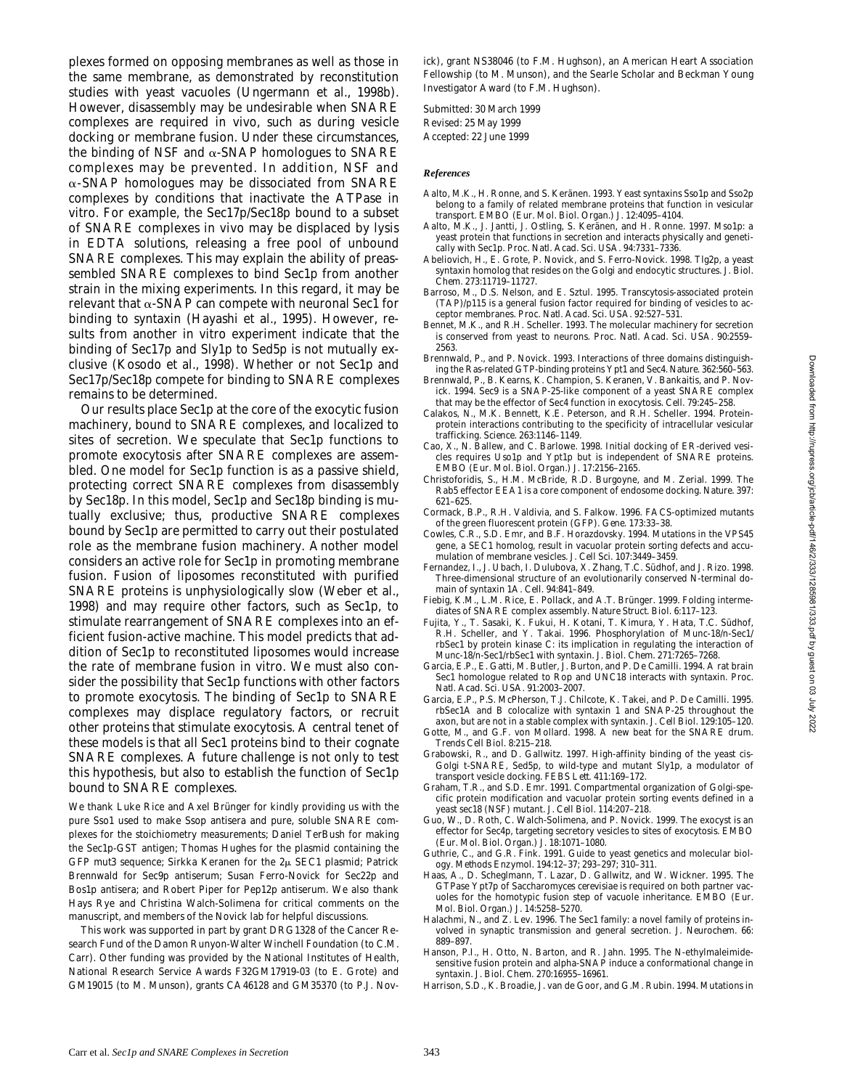plexes formed on opposing membranes as well as those in the same membrane, as demonstrated by reconstitution studies with yeast vacuoles (Ungermann et al., 1998b). However, disassembly may be undesirable when SNARE complexes are required in vivo, such as during vesicle docking or membrane fusion. Under these circumstances, the binding of NSF and  $\alpha$ -SNAP homologues to SNARE complexes may be prevented. In addition, NSF and  $\alpha$ -SNAP homologues may be dissociated from SNARE complexes by conditions that inactivate the ATPase in vitro. For example, the Sec17p/Sec18p bound to a subset of SNARE complexes in vivo may be displaced by lysis in EDTA solutions, releasing a free pool of unbound SNARE complexes. This may explain the ability of preassembled SNARE complexes to bind Sec1p from another strain in the mixing experiments. In this regard, it may be relevant that  $\alpha$ -SNAP can compete with neuronal Sec1 for binding to syntaxin (Hayashi et al., 1995). However, results from another in vitro experiment indicate that the binding of Sec17p and Sly1p to Sed5p is not mutually exclusive (Kosodo et al., 1998). Whether or not Sec1p and Sec17p/Sec18p compete for binding to SNARE complexes remains to be determined.

Our results place Sec1p at the core of the exocytic fusion machinery, bound to SNARE complexes, and localized to sites of secretion. We speculate that Sec1p functions to promote exocytosis after SNARE complexes are assembled. One model for Sec1p function is as a passive shield, protecting correct SNARE complexes from disassembly by Sec18p. In this model, Sec1p and Sec18p binding is mutually exclusive; thus, productive SNARE complexes bound by Sec1p are permitted to carry out their postulated role as the membrane fusion machinery. Another model considers an active role for Sec1p in promoting membrane fusion. Fusion of liposomes reconstituted with purified SNARE proteins is unphysiologically slow (Weber et al., 1998) and may require other factors, such as Sec1p, to stimulate rearrangement of SNARE complexes into an efficient fusion-active machine. This model predicts that addition of Sec1p to reconstituted liposomes would increase the rate of membrane fusion in vitro. We must also consider the possibility that Sec1p functions with other factors to promote exocytosis. The binding of Sec1p to SNARE complexes may displace regulatory factors, or recruit other proteins that stimulate exocytosis. A central tenet of these models is that all Sec1 proteins bind to their cognate SNARE complexes. A future challenge is not only to test this hypothesis, but also to establish the function of Sec1p bound to SNARE complexes.

We thank Luke Rice and Axel Brünger for kindly providing us with the pure Sso1 used to make Ssop antisera and pure, soluble SNARE complexes for the stoichiometry measurements; Daniel TerBush for making the Sec1p-GST antigen; Thomas Hughes for the plasmid containing the GFP *mut3* sequence; Sirkka Keranen for the 2µ *SEC1* plasmid; Patrick Brennwald for Sec9p antiserum; Susan Ferro-Novick for Sec22p and Bos1p antisera; and Robert Piper for Pep12p antiserum. We also thank Hays Rye and Christina Walch-Solimena for critical comments on the manuscript, and members of the Novick lab for helpful discussions.

This work was supported in part by grant DRG1328 of the Cancer Research Fund of the Damon Runyon-Walter Winchell Foundation (to C.M. Carr). Other funding was provided by the National Institutes of Health, National Research Service Awards F32GM17919-03 (to E. Grote) and GM19015 (to M. Munson), grants CA46128 and GM35370 (to P.J. Novick), grant NS38046 (to F.M. Hughson), an American Heart Association Fellowship (to M. Munson), and the Searle Scholar and Beckman Young Investigator Award (to F.M. Hughson).

Submitted: 30 March 1999 Revised: 25 May 1999 Accepted: 22 June 1999

#### *References*

- Aalto, M.K., H. Ronne, and S. Keränen. 1993. Yeast syntaxins Sso1p and Sso2p belong to a family of related membrane proteins that function in vesicular transport. *EMBO (Eur. Mol. Biol. Organ.) J.* 12:4095–4104.
- Aalto, M.K., J. Jantti, J. Ostling, S. Keränen, and H. Ronne. 1997. Mso1p: a yeast protein that functions in secretion and interacts physically and genetically with Sec1p. *Proc. Natl. Acad. Sci. USA.* 94:7331–7336.
- Abeliovich, H., E. Grote, P. Novick, and S. Ferro-Novick. 1998. Tlg2p, a yeast syntaxin homolog that resides on the Golgi and endocytic structures. *J. Biol. Chem.* 273:11719–11727.
- Barroso, M., D.S. Nelson, and E. Sztul. 1995. Transcytosis-associated protein (TAP)/p115 is a general fusion factor required for binding of vesicles to acceptor membranes. *Proc. Natl. Acad. Sci. USA.* 92:527–531.
- Bennet, M.K., and R.H. Scheller. 1993. The molecular machinery for secretion is conserved from yeast to neurons. *Proc. Natl. Acad. Sci. USA.* 90:2559– 2563.
- Brennwald, P., and P. Novick. 1993. Interactions of three domains distinguishing the Ras-related GTP-binding proteins Ypt1 and Sec4. *Nature.* 362:560–563.
- Brennwald, P., B. Kearns, K. Champion, S. Keranen, V. Bankaitis, and P. Novick. 1994. Sec9 is a SNAP-25-like component of a yeast SNARE complex that may be the effector of Sec4 function in exocytosis. *Cell.* 79:245–258.
- Calakos, N., M.K. Bennett, K.E. Peterson, and R.H. Scheller. 1994. Proteinprotein interactions contributing to the specificity of intracellular vesicular trafficking. *Science.* 263:1146–1149.
- Cao, X., N. Ballew, and C. Barlowe. 1998. Initial docking of ER-derived vesicles requires Uso1p and Ypt1p but is independent of SNARE proteins. *EMBO (Eur. Mol. Biol. Organ.) J.* 17:2156–2165.
- Christoforidis, S., H.M. McBride, R.D. Burgoyne, and M. Zerial. 1999. The Rab5 effector EEA1 is a core component of endosome docking. *Nature.* 397: 621–625.
- Cormack, B.P., R.H. Valdivia, and S. Falkow. 1996. FACS-optimized mutants of the green fluorescent protein (GFP). *Gene.* 173:33–38.
- Cowles, C.R., S.D. Emr, and B.F. Horazdovsky. 1994. Mutations in the *VPS45* gene, a *SEC1* homolog, result in vacuolar protein sorting defects and accumulation of membrane vesicles. *J. Cell Sci.* 107:3449–3459.
- Fernandez, I., J. Ubach, I. Dulubova, X. Zhang, T.C. Südhof, and J. Rizo. 1998. Three-dimensional structure of an evolutionarily conserved N-terminal domain of syntaxin 1A. *Cell.* 94:841–849.
- Fiebig, K.M., L.M. Rice, E. Pollack, and A.T. Brünger. 1999. Folding intermediates of SNARE complex assembly. *Nature Struct. Biol.* 6:117–123.
- Fujita, Y., T. Sasaki, K. Fukui, H. Kotani, T. Kimura, Y. Hata, T.C. Südhof, R.H. Scheller, and Y. Takai. 1996. Phosphorylation of Munc-18/n-Sec1/ rbSec1 by protein kinase C: its implication in regulating the interaction of Munc-18/n-Sec1/rbSec1 with syntaxin. *J. Biol. Chem.* 271:7265–7268.
- Garcia, E.P., E. Gatti, M. Butler, J. Burton, and P. De Camilli. 1994. A rat brain Sec1 homologue related to Rop and *UNC18* interacts with syntaxin. *Proc. Natl. Acad. Sci. USA.* 91:2003–2007.
- Garcia, E.P., P.S. McPherson, T.J. Chilcote, K. Takei, and P. De Camilli. 1995. rbSec1A and B colocalize with syntaxin 1 and SNAP-25 throughout the axon, but are not in a stable complex with syntaxin. *J. Cell Biol.* 129:105–120.
- Gotte, M., and G.F. von Mollard. 1998. A new beat for the SNARE drum. *Trends Cell Biol.* 8:215–218.
- Grabowski, R., and D. Gallwitz. 1997. High-affinity binding of the yeast cis-Golgi t-SNARE, Sed5p, to wild-type and mutant Sly1p, a modulator of transport vesicle docking. *FEBS Lett.* 411:169–172.
- Graham, T.R., and S.D. Emr. 1991. Compartmental organization of Golgi-specific protein modification and vacuolar protein sorting events defined in a yeast sec18 (NSF) mutant. *J. Cell Biol.* 114:207–218.
- Guo, W., D. Roth, C. Walch-Solimena, and P. Novick. 1999. The exocyst is an effector for Sec4p, targeting secretory vesicles to sites of exocytosis. *EMBO (Eur. Mol. Biol. Organ.) J.* 18:1071–1080.
- Guthrie, C., and G.R. Fink. 1991. Guide to yeast genetics and molecular biology. *Methods Enzymol.* 194:12–37; 293–297; 310–311.
- Haas, A., D. Scheglmann, T. Lazar, D. Gallwitz, and W. Wickner. 1995. The GTPase Ypt7p of *Saccharomyces cerevisiae* is required on both partner vacuoles for the homotypic fusion step of vacuole inheritance. *EMBO (Eur. Mol. Biol. Organ.) J.* 14:5258–5270.
- Halachmi, N., and Z. Lev. 1996. The Sec1 family: a novel family of proteins involved in synaptic transmission and general secretion. *J. Neurochem.* 66: 889–897.
- Hanson, P.I., H. Otto, N. Barton, and R. Jahn. 1995. The N-ethylmaleimidesensitive fusion protein and alpha-SNAP induce a conformational change in syntaxin. *J. Biol. Chem.* 270:16955–16961.
- Harrison, S.D., K. Broadie, J. van de Goor, and G.M. Rubin. 1994. Mutations in